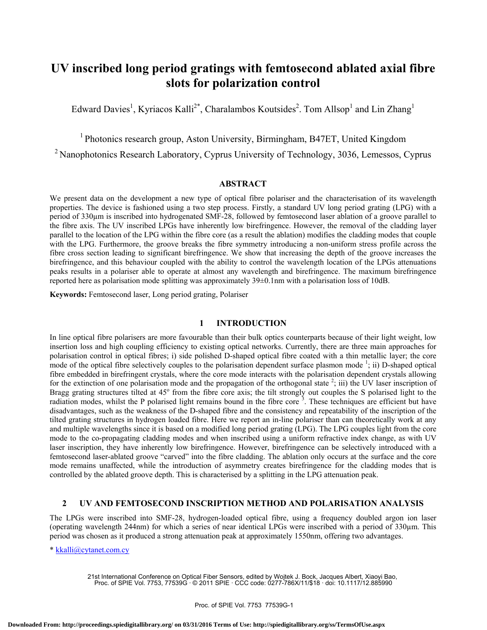# **UV inscribed long period gratings with femtosecond ablated axial fibre slots for polarization control**

Edward Davies<sup>1</sup>, Kyriacos Kalli<sup>2\*</sup>, Charalambos Koutsides<sup>2</sup>. Tom Allsop<sup>1</sup> and Lin Zhang<sup>1</sup>

1 Photonics research group, Aston University, Birmingham, B47ET, United Kingdom

<sup>2</sup> Nanophotonics Research Laboratory, Cyprus University of Technology, 3036, Lemessos, Cyprus

## **ABSTRACT**

We present data on the development a new type of optical fibre polariser and the characterisation of its wavelength properties. The device is fashioned using a two step process. Firstly, a standard UV long period grating (LPG) with a period of 330µm is inscribed into hydrogenated SMF-28, followed by femtosecond laser ablation of a groove parallel to the fibre axis. The UV inscribed LPGs have inherently low birefringence. However, the removal of the cladding layer parallel to the location of the LPG within the fibre core (as a result the ablation) modifies the cladding modes that couple with the LPG. Furthermore, the groove breaks the fibre symmetry introducing a non-uniform stress profile across the fibre cross section leading to significant birefringence. We show that increasing the depth of the groove increases the birefringence, and this behaviour coupled with the ability to control the wavelength location of the LPGs attenuations peaks results in a polariser able to operate at almost any wavelength and birefringence. The maximum birefringence reported here as polarisation mode splitting was approximately 39±0.1nm with a polarisation loss of 10dB.

**Keywords:** Femtosecond laser, Long period grating, Polariser

## **1 INTRODUCTION**

In line optical fibre polarisers are more favourable than their bulk optics counterparts because of their light weight, low insertion loss and high coupling efficiency to existing optical networks. Currently, there are three main approaches for polarisation control in optical fibres; i) side polished D-shaped optical fibre coated with a thin metallic layer; the core mode of the optical fibre selectively couples to the polarisation dependent surface plasmon mode  $\frac{1}{2}$ ; ii) D-shaped optical fibre embedded in birefringent crystals, where the core mode interacts with the polarisation dependent crystals allowing for the extinction of one polarisation mode and the propagation of the orthogonal state  $2$ ; iii) the UV laser inscription of Bragg grating structures tilted at 45° from the fibre core axis; the tilt strongly out couples the S polarised light to the radiation modes, whilst the P polarised light remains bound in the fibre core  $\frac{3}{2}$ . These techniques are efficient but have disadvantages, such as the weakness of the D-shaped fibre and the consistency and repeatability of the inscription of the tilted grating structures in hydrogen loaded fibre. Here we report an in-line polariser than can theoretically work at any and multiple wavelengths since it is based on a modified long period grating (LPG). The LPG couples light from the core mode to the co-propagating cladding modes and when inscribed using a uniform refractive index change, as with UV laser inscription, they have inherently low birefringence. However, birefringence can be selectively introduced with a femtosecond laser-ablated groove "carved" into the fibre cladding. The ablation only occurs at the surface and the core mode remains unaffected, while the introduction of asymmetry creates birefringence for the cladding modes that is controlled by the ablated groove depth. This is characterised by a splitting in the LPG attenuation peak.

## **2 UV AND FEMTOSECOND INSCRIPTION METHOD AND POLARISATION ANALYSIS**

The LPGs were inscribed into SMF-28, hydrogen-loaded optical fibre, using a frequency doubled argon ion laser (operating wavelength 244nm) for which a series of near identical LPGs were inscribed with a period of 330µm. This period was chosen as it produced a strong attenuation peak at approximately 1550nm, offering two advantages.

\* kkalli@cytanet.com.cy

<sup>21</sup>st International Conference on Optical Fiber Sensors, edited by Wojtek J. Bock, Jacques Albert, Xiaoyi Bao, Proc. of SPIE Vol. 7753, 77539G · © 2011 SPIE · CCC code: 0277-786X/11/\$18 · doi: 10.1117/12.885990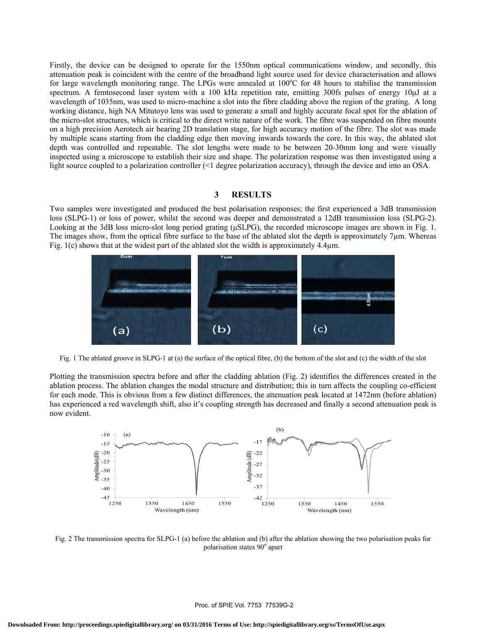Firstly, the device can be designed to operate for the 1550nm optical communications window, and secondly, this attenuation peak is coincident with the centre of the broadband light source used for device characterisation and allows for large wavelength monitoring range. The LPGs were annealed at 100°C for 48 hours to stabilise the transmission spectrum. A femtosecond laser system with a 100 kHz repetition rate, emitting 300fs pulses of energy 10 $\mu$ J at a wavelength of 1035nm, was used to micro-machine a slot into the fibre cladding above the region of the grating. A long working distance, high NA Mitutoyo lens was used to generate a small and highly accurate focal spot for the ablation of the micro-slot structures, which is critical to the direct write nature of the work. The fibre was suspended on fibre mounts on a high precision Aerotech air bearing 2D translation stage, for high accuracy motion of the fibre. The slot was made by multiple scans starting from the cladding edge then moving inwards towards the core. In this way, the ablated slot depth was controlled and repeatable. The slot lengths were made to be between 20-30mm long and were visually inspected using a microscope to establish their size and shape. The polarization response was then investigated using a light source coupled to a polarization controller (<1 degree polarization accuracy), through the device and into an OSA.

### **3 RESULTS**

Two samples were investigated and produced the best polarisation responses; the first experienced a 3dB transmission loss (SLPG-1) or loss of power, whilst the second was deeper and demonstrated a 12dB transmission loss (SLPG-2). Looking at the 3dB loss micro-slot long period grating (μSLPG), the recorded microscope images are shown in Fig. 1. The images show, from the optical fibre surface to the base of the ablated slot the depth is approximately 7µm. Whereas Fig. 1(c) shows that at the widest part of the ablated slot the width is approximately 4.4µm.



Fig. 1 The ablated groove in SLPG-1 at (a) the surface of the optical fibre, (b) the bottom of the slot and (c) the width of the slot

Plotting the transmission spectra before and after the cladding ablation (Fig. 2) identifies the differences created in the ablation process. The ablation changes the modal structure and distribution; this in turn affects the coupling co-efficient for each mode. This is obvious from a few distinct differences, the attenuation peak located at 1472nm (before ablation) has experienced a red wavelength shift, also it's coupling strength has decreased and finally a second attenuation peak is now evident.



Fig. 2 The transmission spectra for SLPG-1 (a) before the ablation and (b) after the ablation showing the two polarisation peaks for polarisation states 90<sup>°</sup> apart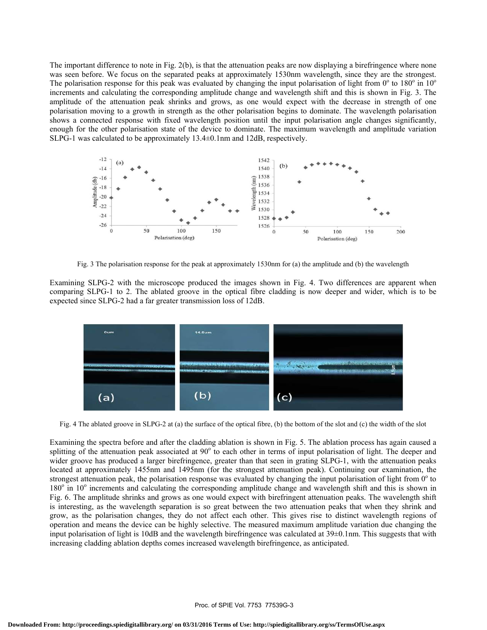The important difference to note in Fig. 2(b), is that the attenuation peaks are now displaying a birefringence where none was seen before. We focus on the separated peaks at approximately 1530nm wavelength, since they are the strongest. The polarisation response for this peak was evaluated by changing the input polarisation of light from  $0^{\circ}$  to  $180^{\circ}$  in  $10^{\circ}$ increments and calculating the corresponding amplitude change and wavelength shift and this is shown in Fig. 3. The amplitude of the attenuation peak shrinks and grows, as one would expect with the decrease in strength of one polarisation moving to a growth in strength as the other polarisation begins to dominate. The wavelength polarisation shows a connected response with fixed wavelength position until the input polarisation angle changes significantly, enough for the other polarisation state of the device to dominate. The maximum wavelength and amplitude variation SLPG-1 was calculated to be approximately 13.4±0.1nm and 12dB, respectively.



Fig. 3 The polarisation response for the peak at approximately 1530nm for (a) the amplitude and (b) the wavelength

Examining SLPG-2 with the microscope produced the images shown in Fig. 4. Two differences are apparent when comparing SLPG-1 to 2. The ablated groove in the optical fibre cladding is now deeper and wider, which is to be expected since SLPG-2 had a far greater transmission loss of 12dB.



Fig. 4 The ablated groove in SLPG-2 at (a) the surface of the optical fibre, (b) the bottom of the slot and (c) the width of the slot

Examining the spectra before and after the cladding ablation is shown in Fig. 5. The ablation process has again caused a splitting of the attenuation peak associated at 90° to each other in terms of input polarisation of light. The deeper and wider groove has produced a larger birefringence, greater than that seen in grating SLPG-1, with the attenuation peaks located at approximately 1455nm and 1495nm (for the strongest attenuation peak). Continuing our examination, the strongest attenuation peak, the polarisation response was evaluated by changing the input polarisation of light from  $0^\circ$  to 180<sup>°</sup> in 10<sup>°</sup> increments and calculating the corresponding amplitude change and wavelength shift and this is shown in Fig. 6. The amplitude shrinks and grows as one would expect with birefringent attenuation peaks. The wavelength shift is interesting, as the wavelength separation is so great between the two attenuation peaks that when they shrink and grow, as the polarisation changes, they do not affect each other. This gives rise to distinct wavelength regions of operation and means the device can be highly selective. The measured maximum amplitude variation due changing the input polarisation of light is 10dB and the wavelength birefringence was calculated at 39±0.1nm. This suggests that with increasing cladding ablation depths comes increased wavelength birefringence, as anticipated.